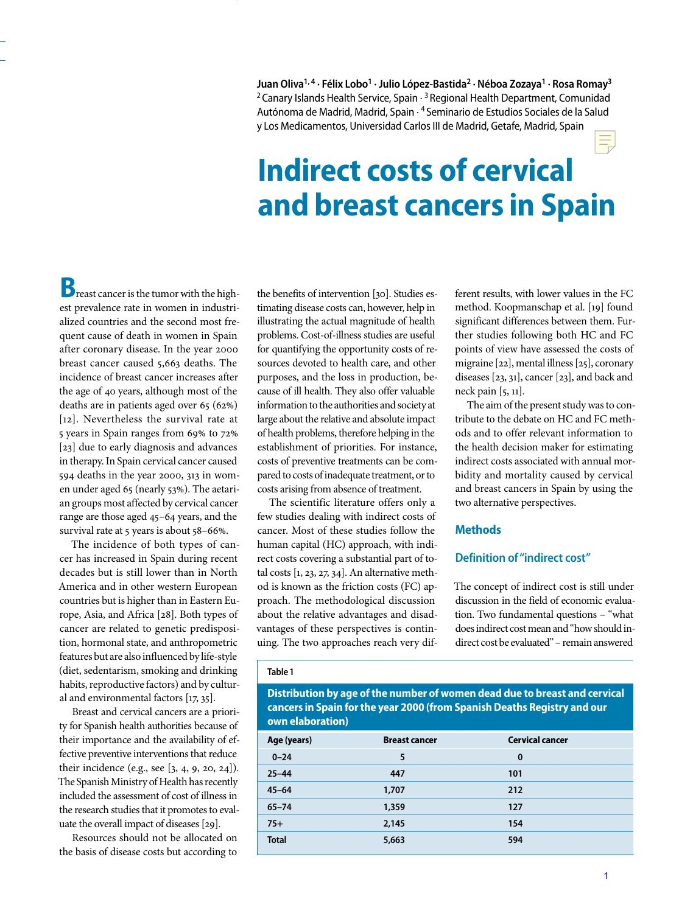Juan Oliva<sup>1,4</sup> · Félix Lobo<sup>1</sup> · Julio López-Bastida<sup>2</sup> · Néboa Zozaya<sup>1</sup> · Rosa Romay<sup>3</sup> <sup>2</sup> Canary Islands Health Service, Spain · <sup>3</sup> Regional Health Department, Comunidad Autónoma de Madrid, Madrid, Spain · <sup>4</sup> Seminario de Estudios Sociales de la Salud y Los Medicamentos, Universidad Carlos III de Madrid, Getafe, Madrid, Spain

# **Indirect costs of cervical** and breast cancers in Spain

S<sub>reast</sub> cancer is the tumor with the highest prevalence rate in women in industrialized countries and the second most frequent cause of death in women in Spain after coronary disease. In the year 2000 breast cancer caused 5,663 deaths. The incidence of breast cancer increases after the age of 40 years, although most of the deaths are in patients aged over 65 (62%) [12]. Nevertheless the survival rate at 5 years in Spain ranges from 69% to 72% [23] due to early diagnosis and advances in therapy. In Spain cervical cancer caused 594 deaths in the year 2000, 313 in women under aged 65 (nearly 53%). The aetarian groups most affected by cervical cancer range are those aged 45–64 years, and the survival rate at 5 years is about 58-66%.

The incidence of both types of cancer has increased in Spain during recent decades but is still lower than in North America and in other western European countries but is higher than in Eastern Europe, Asia, and Africa [28]. Both types of cancer are related to genetic predisposition, hormonal state, and anthropometric features but are also influenced by life-style (diet, sedentarism, smoking and drinking habits, reproductive factors) and by cultural and environmental factors [17, 35].

Breast and cervical cancers are a priority for Spanish health authorities because of their importance and the availability of effective preventive interventions that reduce their incidence (e.g., see  $[3, 4, 9, 20, 24]$ ). The Spanish Ministry of Health has recently included the assessment of cost of illness in the research studies that it promotes to evaluate the overall impact of diseases [29].

Resources should not be allocated on the basis of disease costs but according to the benefits of intervention [30]. Studies estimating disease costs can, however, help in illustrating the actual magnitude of health problems. Cost-of-illness studies are useful for quantifying the opportunity costs of resources devoted to health care, and other purposes, and the loss in production, because of ill health. They also offer valuable information to the authorities and society at large about the relative and absolute impact of health problems, therefore helping in the establishment of priorities. For instance, costs of preventive treatments can be compared to costs of inadequate treatment, or to costs arising from absence of treatment.

The scientific literature offers only a few studies dealing with indirect costs of cancer. Most of these studies follow the human capital (HC) approach, with indirect costs covering a substantial part of total costs [1, 23, 27, 34]. An alternative method is known as the friction costs (FC) approach. The methodological discussion about the relative advantages and disadvantages of these perspectives is continuing. The two approaches reach very different results, with lower values in the FC method. Koopmanschap et al. [19] found significant differences between them. Further studies following both HC and FC points of view have assessed the costs of migraine [22], mental illness [25], coronary diseases  $[23, 31]$ , cancer  $[23]$ , and back and neck pain  $[5, 11]$ .

The aim of the present study was to contribute to the debate on HC and FC methods and to offer relevant information to the health decision maker for estimating indirect costs associated with annual morbidity and mortality caused by cervical and breast cancers in Spain by using the two alternative perspectives.

## **Methods**

## Definition of "indirect cost"

The concept of indirect cost is still under discussion in the field of economic evaluation. Two fundamental questions - "what does indirect cost mean and "how should indirect cost be evaluated" - remain answered

#### Table 1

Distribution by age of the number of women dead due to breast and cervical cancers in Spain for the year 2000 (from Spanish Deaths Registry and our own elaboration)

| Age (years)  | <b>Breast cancer</b> | <b>Cervical cancer</b> |
|--------------|----------------------|------------------------|
| $0 - 24$     | 5                    | 0                      |
| $25 - 44$    | 447                  | 101                    |
| $45 - 64$    | 1,707                | 212                    |
| $65 - 74$    | 1,359                | 127                    |
| $75+$        | 2,145                | 154                    |
| <b>Total</b> | 5,663                | 594                    |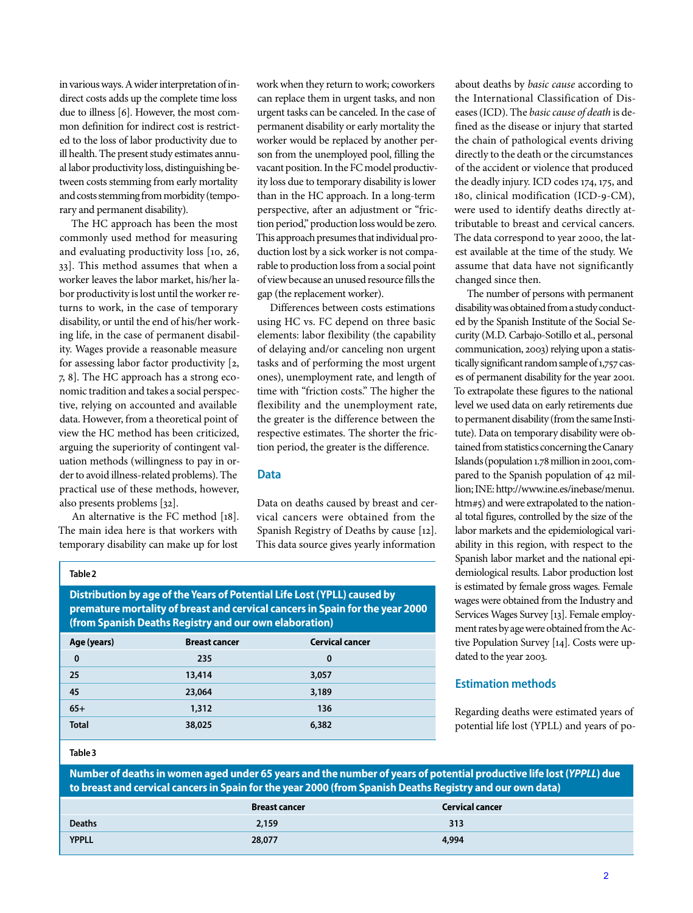in various ways. A wider interpretation of indirect costs adds up the complete time loss due to illness [6]. However, the most common definition for indirect cost is restricted to the loss of labor productivity due to ill health. The present study estimates annual labor productivity loss, distinguishing between costs stemming from early mortality and costs stemming from morbidity (temporary and permanent disability).

The HC approach has been the most commonly used method for measuring and evaluating productivity loss  $[10, 26,$ 33]. This method assumes that when a worker leaves the labor market, his/her labor productivity is lost until the worker returns to work, in the case of temporary disability, or until the end of his/her working life, in the case of permanent disability. Wages provide a reasonable measure for assessing labor factor productivity [2, 7, 8]. The HC approach has a strong economic tradition and takes a social perspective, relying on accounted and available data. However, from a theoretical point of view the HC method has been criticized, arguing the superiority of contingent valuation methods (willingness to pay in order to avoid illness-related problems). The practical use of these methods, however, also presents problems [32].

An alternative is the FC method [18]. The main idea here is that workers with temporary disability can make up for lost

work when they return to work; coworkers can replace them in urgent tasks, and non urgent tasks can be canceled. In the case of permanent disability or early mortality the worker would be replaced by another person from the unemployed pool, filling the vacant position. In the FC model productivity loss due to temporary disability is lower than in the HC approach. In a long-term perspective, after an adjustment or "friction period," production loss would be zero. This approach presumes that individual production lost by a sick worker is not comparable to production loss from a social point of view because an unused resource fills the gap (the replacement worker).

Differences between costs estimations using HC vs. FC depend on three basic elements: labor flexibility (the capability of delaying and/or canceling non urgent tasks and of performing the most urgent ones), unemployment rate, and length of time with "friction costs." The higher the flexibility and the unemployment rate, the greater is the difference between the respective estimates. The shorter the friction period, the greater is the difference.

## **Data**

Data on deaths caused by breast and cervical cancers were obtained from the Spanish Registry of Deaths by cause [12]. This data source gives yearly information

## **Ta ble 2**

**Distribution by age of the Years of Potential Life Lost (YPLL) caused by** premature mortality of breast and cervical cancers in Spain for the year 2000 **(from Spanish Deaths Registry and our own elaboration)** 

| Age (years)  | <b>Breast cancer</b> | <b>Cervical cancer</b> |
|--------------|----------------------|------------------------|
| 0            | 235                  | 0                      |
| 25           | 13,414               | 3,057                  |
| 45           | 23,064               | 3,189                  |
| $65+$        | 1,312                | 136                    |
| <b>Total</b> | 38,025               | 6,382                  |

about deaths by *basic cause* according to the International Classification of Diseases (ICD). The *ba sic cause of death* is defined as the disease or injury that started the chain of pathological events driving directly to the death or the circum stances of the accident or violence that produced the deadly injury. ICD codes 174, 175, and 180, clinical modification (ICD-9-CM), were used to identify deaths directly attributable to breast and cervical cancers. The data correspond to year 2000, the latest available at the time of the study. We assume that data have not significantly changed since then.

The number of persons with permanent disability was obtained from a study conducted by the Spanish Institute of the Social Security (M.D. Carbajo-Sotillo et al., personal communication, 2003) relying upon a statistically significant random sample of 1,757 cases of permanent disability for the year 2001. To extrapolate these figures to the national level we used data on early retirements due to permanent disability (from the same Institute). Data on temporary disability were obtained from statistics concerning the Canary Islands (population 1.78 million in 2001, compared to the Spanish population of 42 million; INE: http://www.ine.es/inebase/menu1. htm#5) and were extrapolated to the national total figures, controlled by the size of the labor markets and the epidemiological variability in this region, with respect to the Spanish labor market and the national epidemiological results. Labor production lost is estimated by female gross wages. Female wages were obtained from the Industry and Services Wages Survey [13]. Female employment rates by age were obtained from the Active Population Survey [14]. Costs were updated to the year 2003.

## **Estimation methods**

Regarding deaths were estimated years of potential life lost (YPLL) and years of po-

#### **Ta ble 3**

**Number of deaths in women aged under 65 years and the number of years of potential productive life lost (***YPPLL***) due to breast and cer vi cal can cers in Spain for the year 2000 (from Span ish Deaths Reg is try and our own data)**

|               | <b>Breast cancer</b> | <b>Cervical cancer</b> |
|---------------|----------------------|------------------------|
| <b>Deaths</b> | 2,159                | 313                    |
| <b>YPPLL</b>  | 28,077               | 4,994                  |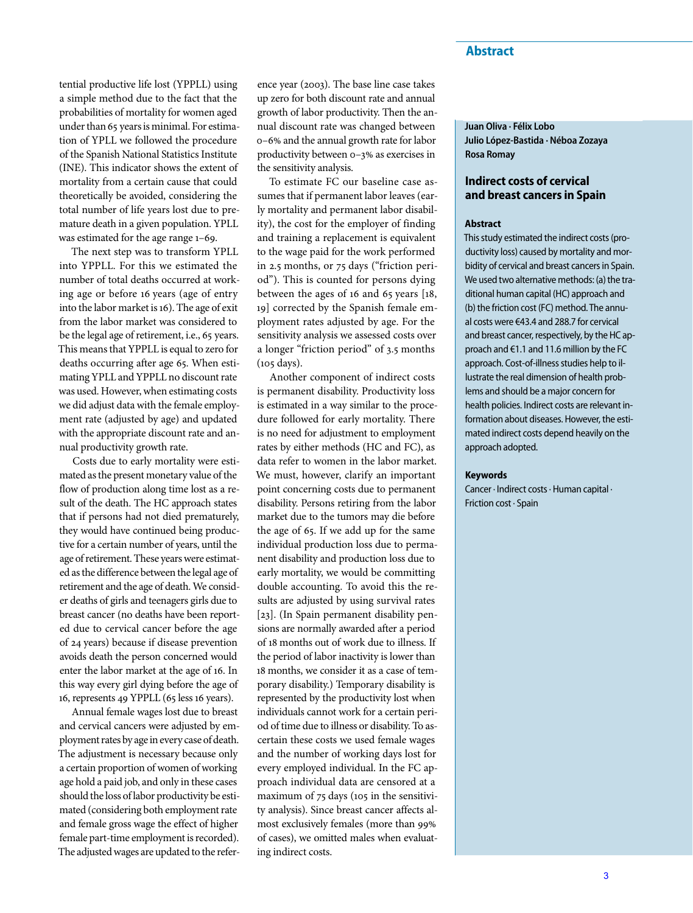## **Abstract**

tential productive life lost (YPPLL) using a simple method due to the fact that the probabilities of mortality for women aged under than 65 years is minimal. For estimation of YPLL we followed the procedure of the Spanish National Statistics Institute (INE). This indicator shows the extent of mortality from a certain cause that could theoretically be avoided, considering the total number of life years lost due to premature death in a given population. YPLL was estimated for the age range 1–69.

The next step was to transform YPLL into YPPLL. For this we estimated the number of total deaths occurred at working age or before 16 years (age of entry into the labor market is 16). The age of exit from the labor market was considered to be the legal age of retirement, i.e., 65 years. This means that YPPLL is equal to zero for deaths occurring after age 65. When estimating YPLL and YPPLL no discount rate was used. However, when estimating costs we did adjust data with the female employment rate (adjusted by age) and updated with the appropriate discount rate and annual productivity growth rate.

Costs due to early mortality were estimated as the present monetary value of the flow of production along time lost as a result of the death. The HC approach states that if persons had not died prematurely, they would have continued being productive for a certain number of years, until the age of retirement. These years were estimated as the difference between the legal age of retirement and the age of death. We consider deaths of girls and teenagers girls due to breast cancer (no deaths have been reported due to cervical cancer before the age of 24 years) because if disease prevention avoids death the person concerned would enter the labor market at the age of 16. In this way every girl dying before the age of 16, represents 49 YPPLL (65 less 16 years).

Annual female wages lost due to breast and cervical cancers were adjusted by employment rates by age in every case of death. The adjustment is necessary because only a certain proportion of women of working age hold a paid job, and only in these cases should the loss of labor productivity be estimated (considering both employment rate and female gross wage the effect of higher female part-time employment is recorded). The adjusted wages are updated to the reference year (2003). The base line case takes up zero for both discount rate and annual growth of labor productivity. Then the annual discount rate was changed between o-6% and the annual growth rate for labor productivity between 0–3% as exercises in the sensitivity analysis.

To estimate FC our baseline case assumes that if permanent labor leaves (early mortality and permanent labor disability), the cost for the employer of finding and training a replacement is equivalent to the wage paid for the work performed in 2.5 months, or 75 days ("friction period"). This is counted for persons dying between the ages of 16 and 65 years  $[18,$ 19] corrected by the Spanish female employment rates adjusted by age. For the sensitivity analysis we assessed costs over a longer "friction period" of 3.5 months (105 days).

Another component of indirect costs is permanent disability. Productivity loss is estimated in a way similar to the procedure followed for early mortality. There is no need for adjustment to employment rates by either methods (HC and FC), as data refer to women in the labor market. We must, however, clarify an important point concerning costs due to permanent disability. Persons retiring from the labor market due to the tumors may die before the age of 65. If we add up for the same individual production loss due to permanent disability and production loss due to early mortality, we would be committing double accounting. To avoid this the results are adjusted by using survival rates [23]. (In Spain permanent disability pensions are normally awarded after a period of 18 months out of work due to illness. If the period of labor inactivity is lower than 18 months, we consider it as a case of temporary disability.) Temporary disability is represented by the productivity lost when individuals cannot work for a certain period of time due to illness or disability. To ascertain these costs we used female wages and the number of working days lost for every employed individual. In the FC approach individual data are censored at a maximum of  $75$  days (105 in the sensitivity analysis). Since breast cancer affects almost exclusively females (more than 99% of cases), we omitted males when evaluating indirect costs.

## **Juan Oli va · Félix Lobo** Julio López-Bastida · Néboa Zozaya **Rosa Romay**

## **Indirect costs of cervical and breast can cers in Spain**

#### **Ab stract**

This study estimated the indirect costs (productivity loss) caused by mortality and morbidity of cervical and breast cancers in Spain. We used two alternative methods: (a) the traditional human capital (HC) approach and (b) the friction cost (FC) method. The annual costs were  $€43.4$  and 288.7 for cervical and breast cancer, respectively, by the HC approach and  $€1.1$  and 11.6 million by the FC approach. Cost-of-illness studies help to illustrate the real dimension of health problems and should be a major concern for health policies. Indirect costs are relevant information about diseases. However, the estimated indirect costs depend heavily on the approach adopted.

#### **Key words**

Cancer · Indirect costs · Human capital · Friction cost · Spain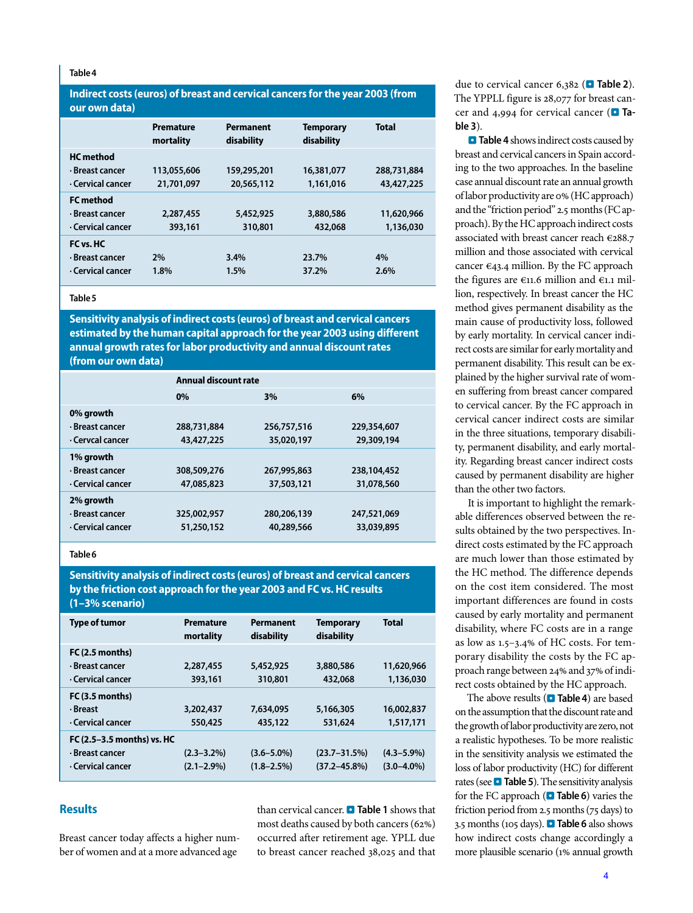#### **Ta ble 4**

### Indirect costs (euros) of breast and cervical cancers for the year 2003 (from **our own data)**

|                   | Premature<br>mortality | Permanent<br>disability | <b>Temporary</b><br>disability | <b>Total</b> |
|-------------------|------------------------|-------------------------|--------------------------------|--------------|
| <b>HC</b> method  |                        |                         |                                |              |
| . Breast cancer   | 113,055,606            | 159,295,201             | 16,381,077                     | 288,731,884  |
| . Cervical cancer | 21,701,097             | 20,565,112              | 1,161,016                      | 43,427,225   |
| <b>FC</b> method  |                        |                         |                                |              |
| · Breast cancer   | 2,287,455              | 5,452,925               | 3,880,586                      | 11,620,966   |
| . Cervical cancer | 393,161                | 310,801                 | 432,068                        | 1,136,030    |
| FC vs. HC         |                        |                         |                                |              |
| · Breast cancer   | 2%                     | 3.4%                    | 23.7%                          | 4%           |
| . Cervical cancer | 1.8%                   | 1.5%                    | 37.2%                          | 2.6%         |

**Ta ble 5**

**Sensitivity analysis of indirect costs (euros) of breast and cervical cancers** estimated by the human capital approach for the year 2003 using different annual growth rates for labor productivity and annual discount rates **(from our own data)**

|                   | Annual discount rate |             |             |  |
|-------------------|----------------------|-------------|-------------|--|
|                   | $0\%$                | 3%          | 6%          |  |
| 0% growth         |                      |             |             |  |
| · Breast cancer   | 288,731,884          | 256,757,516 | 229,354,607 |  |
| · Cervcal cancer  | 43,427,225           | 35,020,197  | 29,309,194  |  |
| 1% growth         |                      |             |             |  |
| · Breast cancer   | 308,509,276          | 267,995,863 | 238,104,452 |  |
| . Cervical cancer | 47.085.823           | 37,503,121  | 31.078.560  |  |
| 2% growth         |                      |             |             |  |
| · Breast cancer   | 325,002,957          | 280,206,139 | 247,521,069 |  |
| . Cervical cancer | 51,250,152           | 40,289,566  | 33,039,895  |  |
|                   |                      |             |             |  |

#### **Ta ble 6**

## **Sensitivity analysis of indirect costs (euros) of breast and cervical cancers** by the friction cost approach for the year 2003 and FC vs. HC results **(1–3% sce nario)**

| <b>Type of tumor</b>       | Premature<br>mortality | Permanent<br>disability | <b>Temporary</b><br>disability | <b>Total</b>    |
|----------------------------|------------------------|-------------------------|--------------------------------|-----------------|
| FC (2.5 months)            |                        |                         |                                |                 |
| . Breast cancer            | 2,287,455              | 5,452,925               | 3,880,586                      | 11,620,966      |
| . Cervical cancer          | 393,161                | 310,801                 | 432,068                        | 1,136,030       |
| FC(3.5 months)             |                        |                         |                                |                 |
| · Breast                   | 3,202,437              | 7.634.095               | 5,166,305                      | 16,002,837      |
| . Cervical cancer          | 550,425                | 435,122                 | 531.624                        | 1,517,171       |
| FC (2.5-3.5 months) vs. HC |                        |                         |                                |                 |
| . Breast cancer            | $(2.3 - 3.2\%)$        | $(3.6 - 5.0\%)$         | $(23.7 - 31.5%)$               | $(4.3 - 5.9\%)$ |
| . Cervical cancer          | $(2.1 - 2.9\%)$        | $(1.8 - 2.5\%)$         | $(37.2 - 45.8\%)$              | $(3.0 - 4.0\%)$ |
|                            |                        |                         |                                |                 |

## **Re sults**

Breast cancer today affects a higher number of women and at a more advanced age

than cervical cancer. **Q Table 1** shows that most deaths caused by both cancers (62%) occurred after retirement age. YPLL due to breast cancer reached 38,025 and that

due to cervical cancer 6,382 (**D** Table 2). The YPPLL figure is 28,077 for breast cancer and 4,994 for cervical cancer (**O** Ta**ble 3**).

 $\Box$  **Table 4** shows indirect costs caused by breast and cervical cancers in Spain according to the two approaches. In the baseline case annual discount rate an annual growth of labor productivity are 0% (HC approach) and the "friction period" 2.5 months (FC approach). By the HC approach indirect costs associated with breast cancer reach  $\epsilon$ 288.7 million and those associated with cervical cancer  $\epsilon$ 43.4 million. By the FC approach the figures are €11.6 million and €1.1 million, respectively. In breast cancer the HC method gives permanent disability as the main cause of productivity loss, followed by early mortality. In cervical cancer indirect costs are similar for early mortality and per manent disability. This result can be explained by the higher survival rate of women suffering from breast cancer compared to cervical cancer. By the FC approach in cervical cancer indirect costs are similar in the three situations, temporary disability, permanent disability, and early mortality. Regarding breast cancer indirect costs caused by permanent disability are higher than the other two factors.

It is important to highlight the remarkable differences observed between the results obtained by the two perspectives. Indirect costs estimated by the FC approach are much lower than those estimated by the HC method. The difference depends on the cost item considered. The most important differences are found in costs caused by early mortality and permanent disability, where FC costs are in a range as low as 1.5-3.4% of HC costs. For temporary disability the costs by the FC approach range between 24% and 37% of indirect costs obtained by the HC approach.

The above results (**Q** Table 4) are based on the assumption that the discount rate and the growth of labor productivity are zero, not a realistic hypotheses. To be more realistic in the sensitivity analysis we estimated the loss of labor productivity (HC) for different rates (see **a Table 5**). The sensitivity analysis for the FC approach (**Q Table 6**) varies the friction period from 2.5 months  $(75 \text{ days})$  to 3.5 months (105 days). **Q Table 6** also shows how indirect costs change accordingly a more plausible scenario (1% annual growth